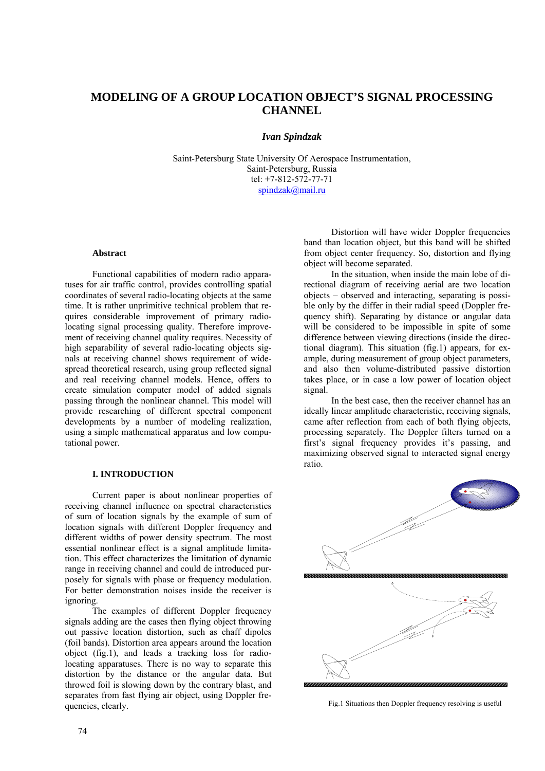# **MODELING OF A GROUP LOCATION OBJECT'S SIGNAL PROCESSING CHANNEL**

## *Ivan Spindzak*

Saint-Petersburg State University Of Aerospace Instrumentation, Saint-Petersburg, Russia tel: +7-812-572-77-71 [spindzak@mail.ru](mailto:spindzak@mail.ru)

### **Abstract**

Functional capabilities of modern radio apparatuses for air traffic control, provides controlling spatial coordinates of several radio-locating objects at the same time. It is rather unprimitive technical problem that requires considerable improvement of primary radiolocating signal processing quality. Therefore improvement of receiving channel quality requires. Necessity of high separability of several radio-locating objects signals at receiving channel shows requirement of widespread theoretical research, using group reflected signal and real receiving channel models. Hence, offers to create simulation computer model of added signals passing through the nonlinear channel. This model will provide researching of different spectral component developments by a number of modeling realization, using a simple mathematical apparatus and low computational power.

#### **I. INTRODUCTION**

Current paper is about nonlinear properties of receiving channel influence on spectral characteristics of sum of location signals by the example of sum of location signals with different Doppler frequency and different widths of power density spectrum. The most essential nonlinear effect is a signal amplitude limitation. This effect characterizes the limitation of dynamic range in receiving channel and could de introduced purposely for signals with phase or frequency modulation. For better demonstration noises inside the receiver is ignoring.

The examples of different Doppler frequency signals adding are the cases then flying object throwing out passive location distortion, such as chaff dipoles (foil bands). Distortion area appears around the location object (fig.1), and leads a tracking loss for radiolocating apparatuses. There is no way to separate this distortion by the distance or the angular data. But throwed foil is slowing down by the contrary blast, and separates from fast flying air object, using Doppler frequencies, clearly.

Distortion will have wider Doppler frequencies band than location object, but this band will be shifted from object center frequency. So, distortion and flying object will become separated.

In the situation, when inside the main lobe of directional diagram of receiving aerial are two location objects – observed and interacting, separating is possible only by the differ in their radial speed (Doppler frequency shift). Separating by distance or angular data will be considered to be impossible in spite of some difference between viewing directions (inside the directional diagram). This situation (fig.1) appears, for example, during measurement of group object parameters, and also then volume-distributed passive distortion takes place, or in case a low power of location object signal.

In the best case, then the receiver channel has an ideally linear amplitude characteristic, receiving signals, came after reflection from each of both flying objects, processing separately. The Doppler filters turned on a first's signal frequency provides it's passing, and maximizing observed signal to interacted signal energy ratio.



Fig.1 Situations then Doppler frequency resolving is useful